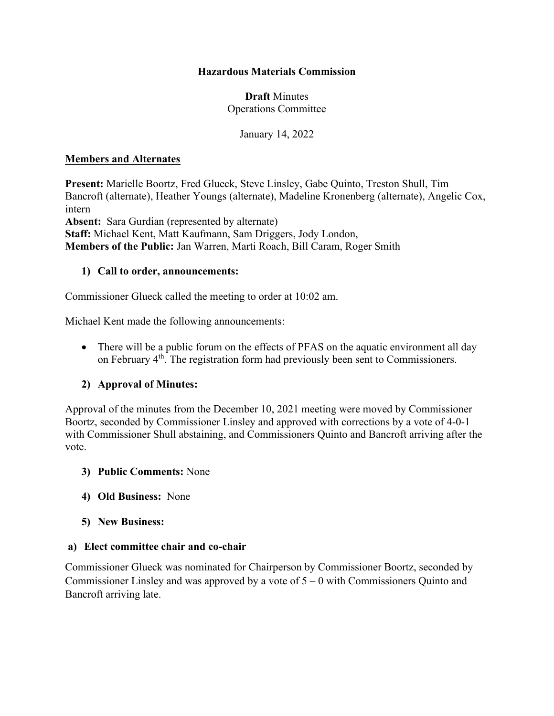### **Hazardous Materials Commission**

### **Draft** Minutes Operations Committee

January 14, 2022

#### **Members and Alternates**

**Present:** Marielle Boortz, Fred Glueck, Steve Linsley, Gabe Quinto, Treston Shull, Tim Bancroft (alternate), Heather Youngs (alternate), Madeline Kronenberg (alternate), Angelic Cox, intern **Absent:** Sara Gurdian (represented by alternate) **Staff:** Michael Kent, Matt Kaufmann, Sam Driggers, Jody London, **Members of the Public:** Jan Warren, Marti Roach, Bill Caram, Roger Smith

#### **1) Call to order, announcements:**

Commissioner Glueck called the meeting to order at 10:02 am.

Michael Kent made the following announcements:

• There will be a public forum on the effects of PFAS on the aquatic environment all day on February 4<sup>th</sup>. The registration form had previously been sent to Commissioners.

### **2) Approval of Minutes:**

Approval of the minutes from the December 10, 2021 meeting were moved by Commissioner Boortz, seconded by Commissioner Linsley and approved with corrections by a vote of 4-0-1 with Commissioner Shull abstaining, and Commissioners Quinto and Bancroft arriving after the vote.

- **3) Public Comments:** None
- **4) Old Business:** None
- **5) New Business:**

#### **a) Elect committee chair and co-chair**

Commissioner Glueck was nominated for Chairperson by Commissioner Boortz, seconded by Commissioner Linsley and was approved by a vote of 5 – 0 with Commissioners Quinto and Bancroft arriving late.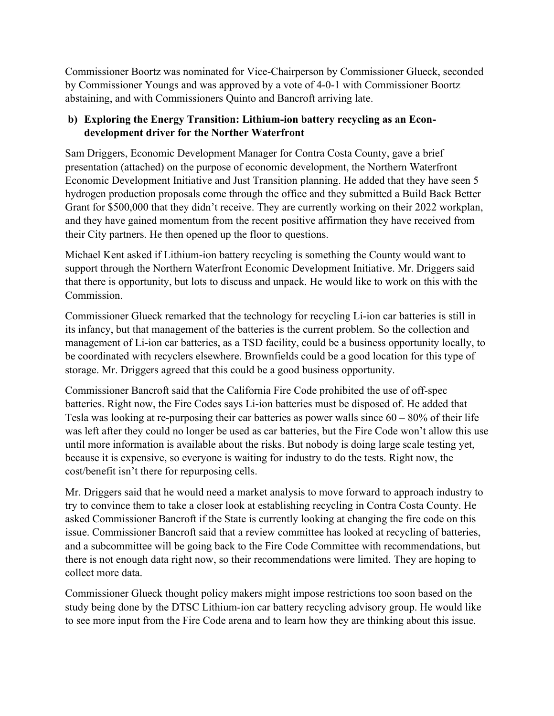Commissioner Boortz was nominated for Vice-Chairperson by Commissioner Glueck, seconded by Commissioner Youngs and was approved by a vote of 4-0-1 with Commissioner Boortz abstaining, and with Commissioners Quinto and Bancroft arriving late.

# **b) Exploring the Energy Transition: Lithium-ion battery recycling as an Econdevelopment driver for the Norther Waterfront**

Sam Driggers, Economic Development Manager for Contra Costa County, gave a brief presentation (attached) on the purpose of economic development, the Northern Waterfront Economic Development Initiative and Just Transition planning. He added that they have seen 5 hydrogen production proposals come through the office and they submitted a Build Back Better Grant for \$500,000 that they didn't receive. They are currently working on their 2022 workplan, and they have gained momentum from the recent positive affirmation they have received from their City partners. He then opened up the floor to questions.

Michael Kent asked if Lithium-ion battery recycling is something the County would want to support through the Northern Waterfront Economic Development Initiative. Mr. Driggers said that there is opportunity, but lots to discuss and unpack. He would like to work on this with the Commission.

Commissioner Glueck remarked that the technology for recycling Li-ion car batteries is still in its infancy, but that management of the batteries is the current problem. So the collection and management of Li-ion car batteries, as a TSD facility, could be a business opportunity locally, to be coordinated with recyclers elsewhere. Brownfields could be a good location for this type of storage. Mr. Driggers agreed that this could be a good business opportunity.

Commissioner Bancroft said that the California Fire Code prohibited the use of off-spec batteries. Right now, the Fire Codes says Li-ion batteries must be disposed of. He added that Tesla was looking at re-purposing their car batteries as power walls since  $60 - 80\%$  of their life was left after they could no longer be used as car batteries, but the Fire Code won't allow this use until more information is available about the risks. But nobody is doing large scale testing yet, because it is expensive, so everyone is waiting for industry to do the tests. Right now, the cost/benefit isn't there for repurposing cells.

Mr. Driggers said that he would need a market analysis to move forward to approach industry to try to convince them to take a closer look at establishing recycling in Contra Costa County. He asked Commissioner Bancroft if the State is currently looking at changing the fire code on this issue. Commissioner Bancroft said that a review committee has looked at recycling of batteries, and a subcommittee will be going back to the Fire Code Committee with recommendations, but there is not enough data right now, so their recommendations were limited. They are hoping to collect more data.

Commissioner Glueck thought policy makers might impose restrictions too soon based on the study being done by the DTSC Lithium-ion car battery recycling advisory group. He would like to see more input from the Fire Code arena and to learn how they are thinking about this issue.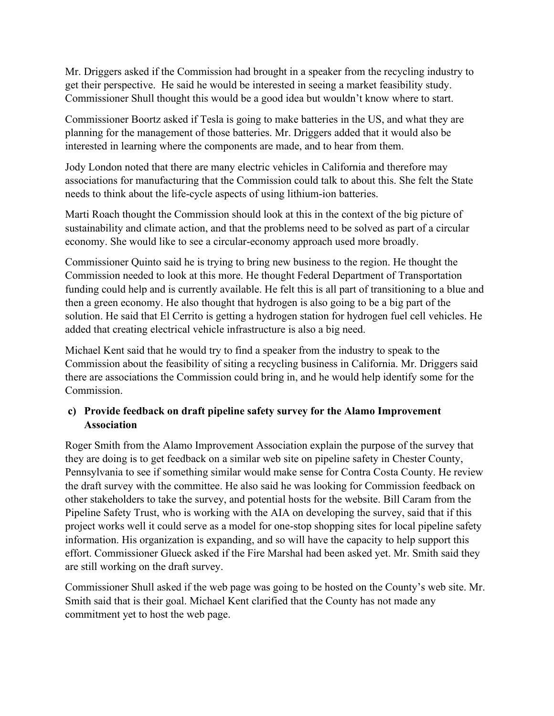Mr. Driggers asked if the Commission had brought in a speaker from the recycling industry to get their perspective. He said he would be interested in seeing a market feasibility study. Commissioner Shull thought this would be a good idea but wouldn't know where to start.

Commissioner Boortz asked if Tesla is going to make batteries in the US, and what they are planning for the management of those batteries. Mr. Driggers added that it would also be interested in learning where the components are made, and to hear from them.

Jody London noted that there are many electric vehicles in California and therefore may associations for manufacturing that the Commission could talk to about this. She felt the State needs to think about the life-cycle aspects of using lithium-ion batteries.

Marti Roach thought the Commission should look at this in the context of the big picture of sustainability and climate action, and that the problems need to be solved as part of a circular economy. She would like to see a circular-economy approach used more broadly.

Commissioner Quinto said he is trying to bring new business to the region. He thought the Commission needed to look at this more. He thought Federal Department of Transportation funding could help and is currently available. He felt this is all part of transitioning to a blue and then a green economy. He also thought that hydrogen is also going to be a big part of the solution. He said that El Cerrito is getting a hydrogen station for hydrogen fuel cell vehicles. He added that creating electrical vehicle infrastructure is also a big need.

Michael Kent said that he would try to find a speaker from the industry to speak to the Commission about the feasibility of siting a recycling business in California. Mr. Driggers said there are associations the Commission could bring in, and he would help identify some for the Commission.

# **c) Provide feedback on draft pipeline safety survey for the Alamo Improvement Association**

Roger Smith from the Alamo Improvement Association explain the purpose of the survey that they are doing is to get feedback on a similar web site on pipeline safety in Chester County, Pennsylvania to see if something similar would make sense for Contra Costa County. He review the draft survey with the committee. He also said he was looking for Commission feedback on other stakeholders to take the survey, and potential hosts for the website. Bill Caram from the Pipeline Safety Trust, who is working with the AIA on developing the survey, said that if this project works well it could serve as a model for one-stop shopping sites for local pipeline safety information. His organization is expanding, and so will have the capacity to help support this effort. Commissioner Glueck asked if the Fire Marshal had been asked yet. Mr. Smith said they are still working on the draft survey.

Commissioner Shull asked if the web page was going to be hosted on the County's web site. Mr. Smith said that is their goal. Michael Kent clarified that the County has not made any commitment yet to host the web page.